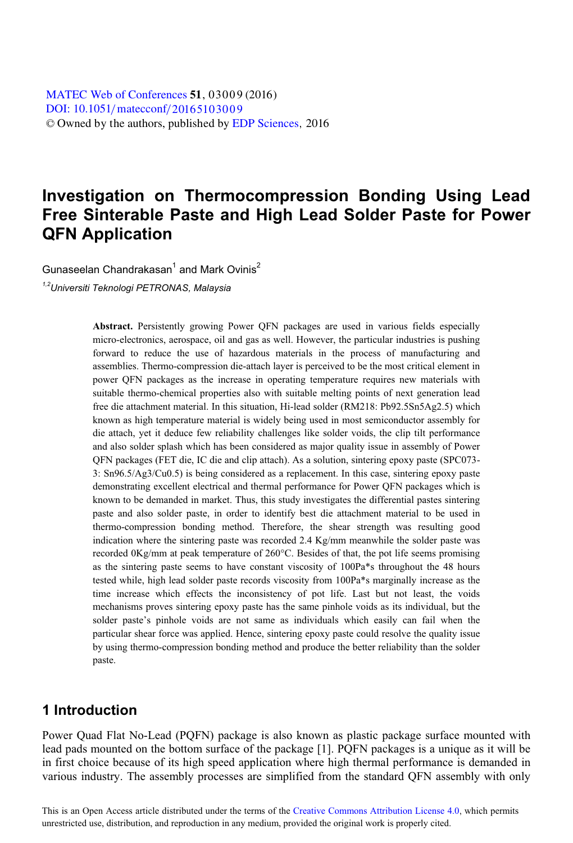[DOI: 10.1051](http://dx.doi.org/10.1051/matecconf/20165103009)/matecconf/20165103009 © Owned by the authors, published by [EDP Sciences](http://www.edpsciences.org), 2016 MATEC [Web of Conferences](http://www.matec-conferences.org) 51, 03009 (2016)

# **Investigation on Thermocompression Bonding Using Lead Free Sinterable Paste and High Lead Solder Paste for Power QFN Application**

Gunaseelan Chandrakasan<sup>1</sup> and Mark Ovinis<sup>2</sup>

*1,2Universiti Teknologi PETRONAS, Malaysia* 

**Abstract.** Persistently growing Power QFN packages are used in various fields especially micro-electronics, aerospace, oil and gas as well. However, the particular industries is pushing forward to reduce the use of hazardous materials in the process of manufacturing and assemblies. Thermo-compression die-attach layer is perceived to be the most critical element in power QFN packages as the increase in operating temperature requires new materials with suitable thermo-chemical properties also with suitable melting points of next generation lead free die attachment material. In this situation, Hi-lead solder (RM218: Pb92.5Sn5Ag2.5) which known as high temperature material is widely being used in most semiconductor assembly for die attach, yet it deduce few reliability challenges like solder voids, the clip tilt performance and also solder splash which has been considered as major quality issue in assembly of Power QFN packages (FET die, IC die and clip attach). As a solution, sintering epoxy paste (SPC073- 3: Sn96.5/Ag3/Cu0.5) is being considered as a replacement. In this case, sintering epoxy paste demonstrating excellent electrical and thermal performance for Power QFN packages which is known to be demanded in market. Thus, this study investigates the differential pastes sintering paste and also solder paste, in order to identify best die attachment material to be used in thermo-compression bonding method. Therefore, the shear strength was resulting good indication where the sintering paste was recorded 2.4 Kg/mm meanwhile the solder paste was recorded 0Kg/mm at peak temperature of 260°C. Besides of that, the pot life seems promising as the sintering paste seems to have constant viscosity of 100Pa\*s throughout the 48 hours tested while, high lead solder paste records viscosity from 100Pa\*s marginally increase as the time increase which effects the inconsistency of pot life. Last but not least, the voids mechanisms proves sintering epoxy paste has the same pinhole voids as its individual, but the solder paste's pinhole voids are not same as individuals which easily can fail when the particular shear force was applied. Hence, sintering epoxy paste could resolve the quality issue by using thermo-compression bonding method and produce the better reliability than the solder paste.

### **1 Introduction**

Power Quad Flat No-Lead (PQFN) package is also known as plastic package surface mounted with lead pads mounted on the bottom surface of the package [1]. PQFN packages is a unique as it will be in first choice because of its high speed application where high thermal performance is demanded in various industry. The assembly processes are simplified from the standard QFN assembly with only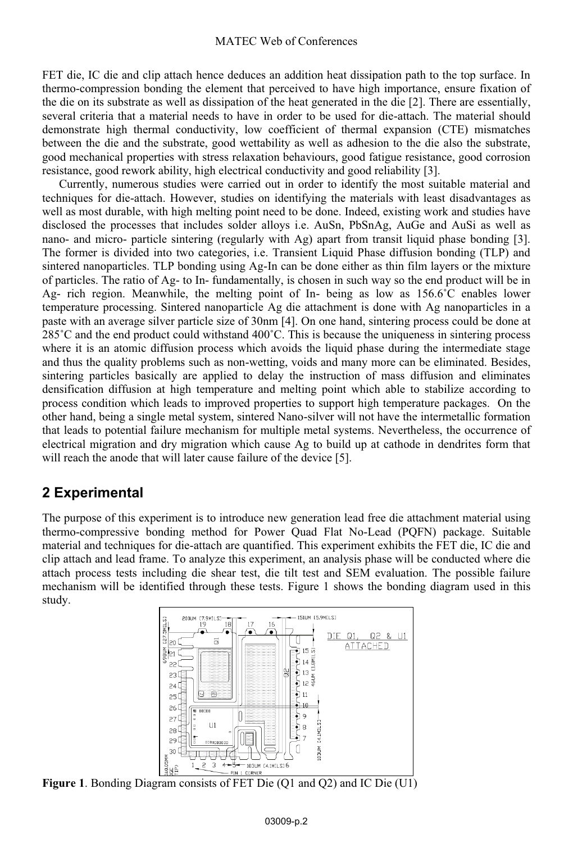#### MATEC Web of Conferences

FET die, IC die and clip attach hence deduces an addition heat dissipation path to the top surface. In thermo-compression bonding the element that perceived to have high importance, ensure fixation of the die on its substrate as well as dissipation of the heat generated in the die [2]. There are essentially, several criteria that a material needs to have in order to be used for die-attach. The material should demonstrate high thermal conductivity, low coefficient of thermal expansion (CTE) mismatches between the die and the substrate, good wettability as well as adhesion to the die also the substrate, good mechanical properties with stress relaxation behaviours, good fatigue resistance, good corrosion resistance, good rework ability, high electrical conductivity and good reliability [3].

Currently, numerous studies were carried out in order to identify the most suitable material and techniques for die-attach. However, studies on identifying the materials with least disadvantages as well as most durable, with high melting point need to be done. Indeed, existing work and studies have disclosed the processes that includes solder alloys i.e. AuSn, PbSnAg, AuGe and AuSi as well as nano- and micro- particle sintering (regularly with Ag) apart from transit liquid phase bonding [3]. The former is divided into two categories, i.e. Transient Liquid Phase diffusion bonding (TLP) and sintered nanoparticles. TLP bonding using Ag-In can be done either as thin film layers or the mixture of particles. The ratio of Ag- to In- fundamentally, is chosen in such way so the end product will be in Ag- rich region. Meanwhile, the melting point of In- being as low as  $156.6^{\circ}$ C enables lower temperature processing. Sintered nanoparticle Ag die attachment is done with Ag nanoparticles in a paste with an average silver particle size of 30nm [4]. On one hand, sintering process could be done at 285˚C and the end product could withstand 400˚C. This is because the uniqueness in sintering process where it is an atomic diffusion process which avoids the liquid phase during the intermediate stage and thus the quality problems such as non-wetting, voids and many more can be eliminated. Besides, sintering particles basically are applied to delay the instruction of mass diffusion and eliminates densification diffusion at high temperature and melting point which able to stabilize according to process condition which leads to improved properties to support high temperature packages. On the other hand, being a single metal system, sintered Nano-silver will not have the intermetallic formation that leads to potential failure mechanism for multiple metal systems. Nevertheless, the occurrence of electrical migration and dry migration which cause Ag to build up at cathode in dendrites form that will reach the anode that will later cause failure of the device [5].

## **2 Experimental**

The purpose of this experiment is to introduce new generation lead free die attachment material using thermo-compressive bonding method for Power Quad Flat No-Lead (PQFN) package. Suitable material and techniques for die-attach are quantified. This experiment exhibits the FET die, IC die and clip attach and lead frame. To analyze this experiment, an analysis phase will be conducted where die attach process tests including die shear test, die tilt test and SEM evaluation. The possible failure mechanism will be identified through these tests. Figure 1 shows the bonding diagram used in this study.



**Figure 1**. Bonding Diagram consists of FET Die (Q1 and Q2) and IC Die (U1)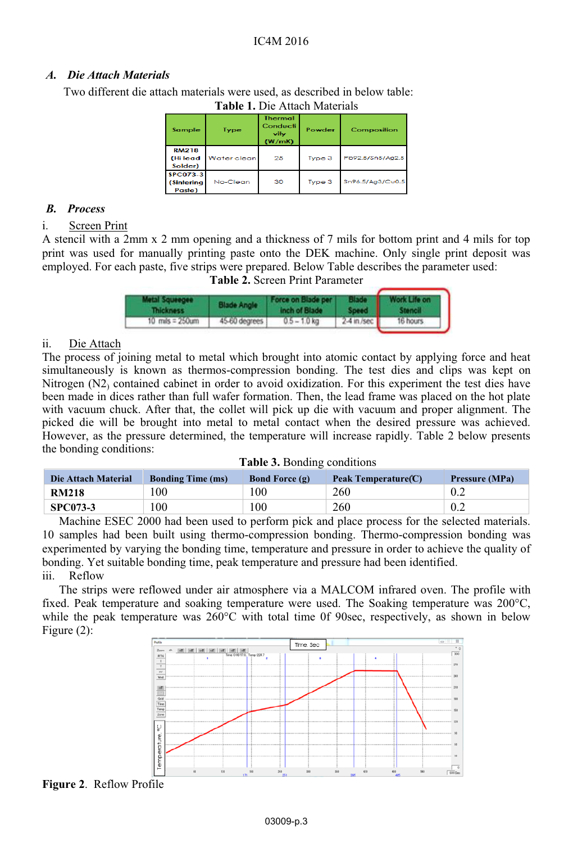#### *A. Die Attach Materials*

Two different die attach materials were used, as described in below table:

| Sample                                  | <b>Type</b> | <b>Thermal</b><br>Conducti<br>vitv<br>(W/mK) | Powder | Composition      |
|-----------------------------------------|-------------|----------------------------------------------|--------|------------------|
| <b>RM218</b><br>(Hilead<br>Solder)      | Water clean | 25                                           | Type 3 | Pb92.5/Sn5/Ag2.5 |
| <b>SPC073-3</b><br>(Sintering<br>Paste) | No-Clean    | 30                                           | Type 3 | Sn96.5/Ag3/Cu0.5 |

**Table 1.** Die Attach Materials

#### *B. Process*

#### i. Screen Print

A stencil with a 2mm x 2 mm opening and a thickness of 7 mils for bottom print and 4 mils for top print was used for manually printing paste onto the DEK machine. Only single print deposit was employed. For each paste, five strips were prepared. Below Table describes the parameter used:

#### **Table 2.** Screen Print Parameter

| <b>Metal Squeegee</b><br><b>Thickness</b> | <b>Blade Angle</b> | Force on Blade per<br>inch of Blade |               | Work Life on |
|-------------------------------------------|--------------------|-------------------------------------|---------------|--------------|
| 10 $mils = 250um$                         | 45-60 degrees      | $0.5 - 1.0$ kg                      | $2-4$ in /sec | 16 hours     |

#### ii. Die Attach

The process of joining metal to metal which brought into atomic contact by applying force and heat simultaneously is known as thermos-compression bonding. The test dies and clips was kept on Nitrogen (N2) contained cabinet in order to avoid oxidization. For this experiment the test dies have been made in dices rather than full wafer formation. Then, the lead frame was placed on the hot plate with vacuum chuck. After that, the collet will pick up die with vacuum and proper alignment. The picked die will be brought into metal to metal contact when the desired pressure was achieved. However, as the pressure determined, the temperature will increase rapidly. Table 2 below presents the bonding conditions:

| Die Attach Material | <b>Bonding Time (ms)</b> | <b>Bond Force (g)</b> | Peak Temperature (C) | <b>Pressure (MPa)</b> |
|---------------------|--------------------------|-----------------------|----------------------|-----------------------|
| <b>RM218</b>        | 100                      | 100                   | 260                  | 0.2                   |
| <b>SPC073-3</b>     | 100                      | 100                   | 260                  | 0.2                   |

Machine ESEC 2000 had been used to perform pick and place process for the selected materials. 10 samples had been built using thermo-compression bonding. Thermo-compression bonding was experimented by varying the bonding time, temperature and pressure in order to achieve the quality of bonding. Yet suitable bonding time, peak temperature and pressure had been identified. iii. Reflow

The strips were reflowed under air atmosphere via a MALCOM infrared oven. The profile with fixed. Peak temperature and soaking temperature were used. The Soaking temperature was 200°C, while the peak temperature was  $260^{\circ}$ C with total time 0f 90sec, respectively, as shown in below Figure (2):



**Figure 2**. Reflow Profile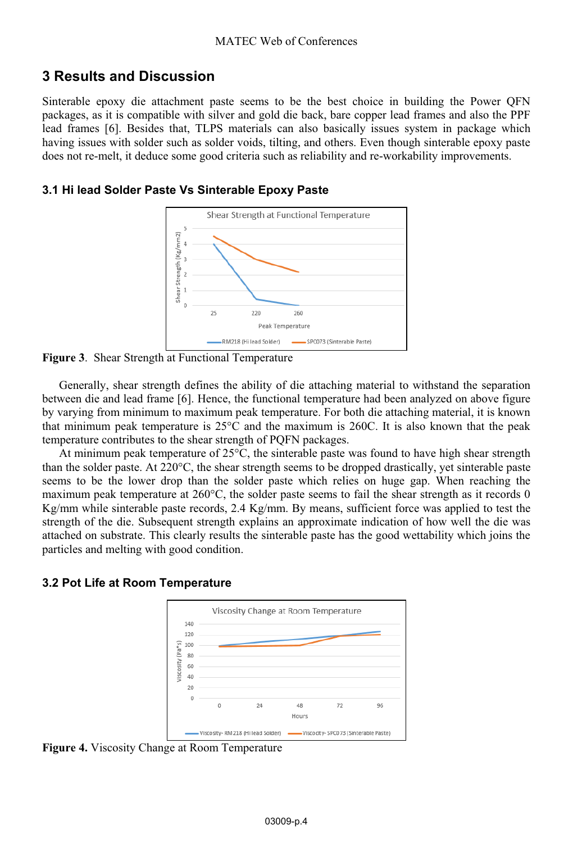## **3 Results and Discussion**

Sinterable epoxy die attachment paste seems to be the best choice in building the Power QFN packages, as it is compatible with silver and gold die back, bare copper lead frames and also the PPF lead frames [6]. Besides that, TLPS materials can also basically issues system in package which having issues with solder such as solder voids, tilting, and others. Even though sinterable epoxy paste does not re-melt, it deduce some good criteria such as reliability and re-workability improvements.

#### **3.1 Hi lead Solder Paste Vs Sinterable Epoxy Paste**



**Figure 3**. Shear Strength at Functional Temperature

Generally, shear strength defines the ability of die attaching material to withstand the separation between die and lead frame [6]. Hence, the functional temperature had been analyzed on above figure by varying from minimum to maximum peak temperature. For both die attaching material, it is known that minimum peak temperature is  $25^{\circ}$ C and the maximum is 260C. It is also known that the peak temperature contributes to the shear strength of PQFN packages.

At minimum peak temperature of  $25^{\circ}$ C, the sinterable paste was found to have high shear strength than the solder paste. At 220°C, the shear strength seems to be dropped drastically, yet sinterable paste seems to be the lower drop than the solder paste which relies on huge gap. When reaching the maximum peak temperature at 260°C, the solder paste seems to fail the shear strength as it records 0 Kg/mm while sinterable paste records, 2.4 Kg/mm. By means, sufficient force was applied to test the strength of the die. Subsequent strength explains an approximate indication of how well the die was attached on substrate. This clearly results the sinterable paste has the good wettability which joins the particles and melting with good condition.

### **3.2 Pot Life at Room Temperature**



**Figure 4.** Viscosity Change at Room Temperature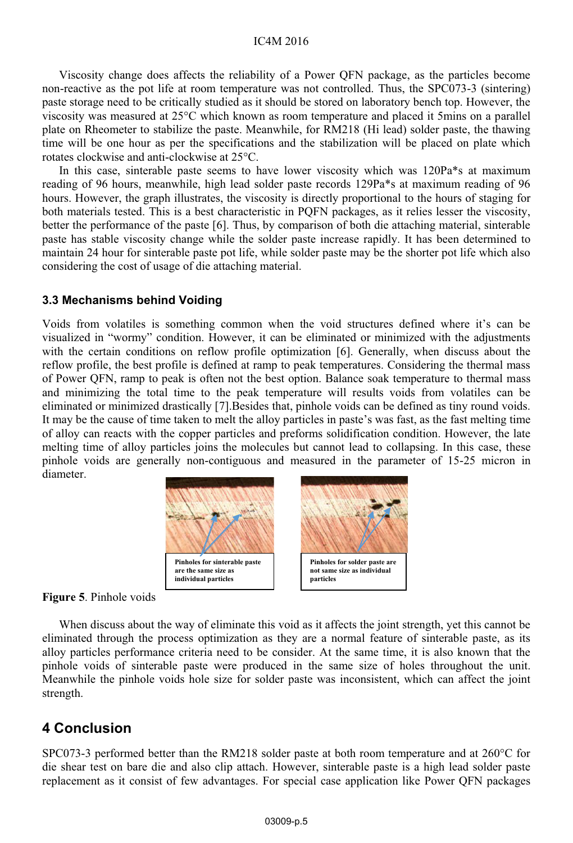#### IC4M 2016

Viscosity change does affects the reliability of a Power QFN package, as the particles become non-reactive as the pot life at room temperature was not controlled. Thus, the SPC073-3 (sintering) paste storage need to be critically studied as it should be stored on laboratory bench top. However, the viscosity was measured at 25°C which known as room temperature and placed it 5mins on a parallel plate on Rheometer to stabilize the paste. Meanwhile, for RM218 (Hi lead) solder paste, the thawing time will be one hour as per the specifications and the stabilization will be placed on plate which rotates clockwise and anti-clockwise at 25°C.

In this case, sinterable paste seems to have lower viscosity which was 120Pa\*s at maximum reading of 96 hours, meanwhile, high lead solder paste records 129Pa\*s at maximum reading of 96 hours. However, the graph illustrates, the viscosity is directly proportional to the hours of staging for both materials tested. This is a best characteristic in PQFN packages, as it relies lesser the viscosity, better the performance of the paste [6]. Thus, by comparison of both die attaching material, sinterable paste has stable viscosity change while the solder paste increase rapidly. It has been determined to maintain 24 hour for sinterable paste pot life, while solder paste may be the shorter pot life which also considering the cost of usage of die attaching material.

#### **3.3 Mechanisms behind Voiding**

Voids from volatiles is something common when the void structures defined where it's can be visualized in "wormy" condition. However, it can be eliminated or minimized with the adjustments with the certain conditions on reflow profile optimization [6]. Generally, when discuss about the reflow profile, the best profile is defined at ramp to peak temperatures. Considering the thermal mass of Power QFN, ramp to peak is often not the best option. Balance soak temperature to thermal mass and minimizing the total time to the peak temperature will results voids from volatiles can be eliminated or minimized drastically [7].Besides that, pinhole voids can be defined as tiny round voids. It may be the cause of time taken to melt the alloy particles in paste's was fast, as the fast melting time of alloy can reacts with the copper particles and preforms solidification condition. However, the late melting time of alloy particles joins the molecules but cannot lead to collapsing. In this case, these pinhole voids are generally non-contiguous and measured in the parameter of 15-25 micron in diameter.





When discuss about the way of eliminate this void as it affects the joint strength, yet this cannot be eliminated through the process optimization as they are a normal feature of sinterable paste, as its alloy particles performance criteria need to be consider. At the same time, it is also known that the pinhole voids of sinterable paste were produced in the same size of holes throughout the unit. Meanwhile the pinhole voids hole size for solder paste was inconsistent, which can affect the joint strength.

### **4 Conclusion**

SPC073-3 performed better than the RM218 solder paste at both room temperature and at 260°C for die shear test on bare die and also clip attach. However, sinterable paste is a high lead solder paste replacement as it consist of few advantages. For special case application like Power QFN packages